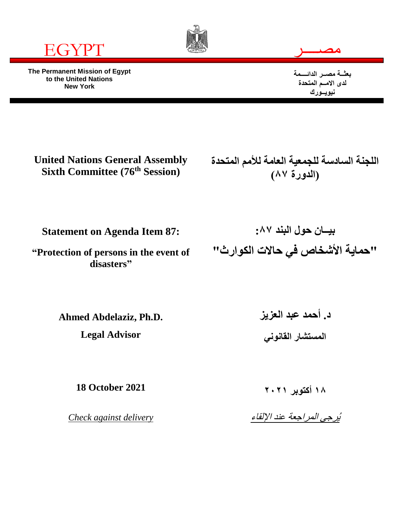

**The Permanent Mission of Egypt to the United Nations New York**





**بعثــة مصــر الدائــــمة لدى االمــم المتحدة نيويــورك**

**United Nations General Assembly Sixth Committee (76th Session)**

**اللجنة السادسة للجمعية العامة لألمم المتحدة )الدورة ٨٧(**

**Statement on Agenda Item 87:**

**"Protection of persons in the event of disasters"**

**بيــان حول البند :٨٧ "حماية األشخاص في حاالت الكوارث"**

**Ahmed Abdelaziz, Ph.D.**

**Legal Advisor**

**د. أحمد عبد العزيز المستشار القانوني**

**18 October 2021**

*Check against delivery*

**١٨ أكتوبر ٢٠٢١**

يُرجى المراجعة عند اإللقاء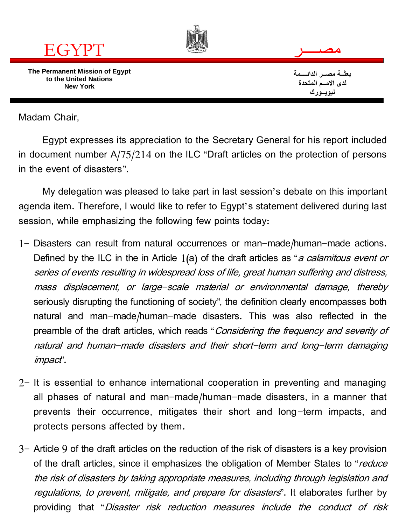

Madam Chair,

Egypt expresses its appreciation to the Secretary General for his report included in document number A/75/214 on the ILC "Draft articles on the protection of persons in the event of disasters".

My delegation was pleased to take part in last session's debate on this important agenda item. Therefore, I would like to refer to Egypt's statement delivered during last session, while emphasizing the following few points today:

- 1- Disasters can result from natural occurrences or man-made/human-made actions. Defined by the ILC in the in Article 1(a) of the draft articles as "a calamitous event or series of events resulting in widespread loss of life, great human suffering and distress, mass displacement, or large-scale material or environmental damage, thereby seriously disrupting the functioning of society", the definition clearly encompasses both natural and man-made/human-made disasters. This was also reflected in the preamble of the draft articles, which reads "Considering the frequency and severity of natural and human-made disasters and their short-term and long-term damaging impact".
- 2- It is essential to enhance international cooperation in preventing and managing all phases of natural and man-made/human-made disasters, in a manner that prevents their occurrence, mitigates their short and long-term impacts, and protects persons affected by them.
- 3- Article 9 of the draft articles on the reduction of the risk of disasters is a key provision of the draft articles, since it emphasizes the obligation of Member States to "reduce the risk of disasters by taking appropriate measures, including through legislation and regulations, to prevent, mitigate, and prepare for disasters". It elaborates further by providing that "Disaster risk reduction measures include the conduct of risk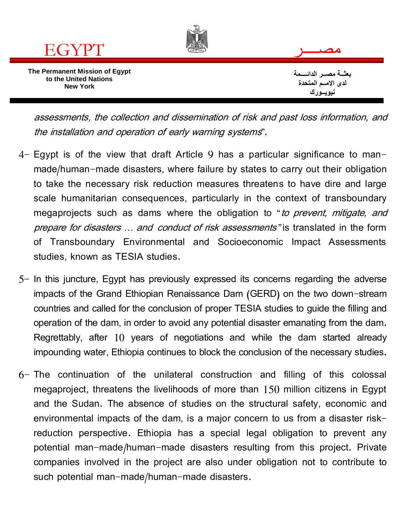

assessments, the collection and dissemination of risk and past loss information, and the installation and operation of early warning systems".

- 4- Egypt is of the view that draft Article 9 has a particular significance to manmade/human-made disasters, where failure by states to carry out their obligation to take the necessary risk reduction measures threatens to have dire and large scale humanitarian consequences, particularly in the context of transboundary megaprojects such as dams where the obligation to "*to prevent, mitigate, and* prepare for disasters … and conduct of risk assessments" is translated in the form of Transboundary Environmental and Socioeconomic Impact Assessments studies, known as TESIA studies.
- 5- In this juncture, Egypt has previously expressed its concerns regarding the adverse impacts of the Grand Ethiopian Renaissance Dam (GERD) on the two down-stream countries and called for the conclusion of proper TESIA studies to guide the filling and operation of the dam, in order to avoid any potential disaster emanating from the dam. Regrettably, after 10 years of negotiations and while the dam started already impounding water, Ethiopia continues to block the conclusion of the necessary studies.
- 6- The continuation of the unilateral construction and filling of this colossal megaproject, threatens the livelihoods of more than 150 million citizens in Egypt and the Sudan. The absence of studies on the structural safety, economic and environmental impacts of the dam, is a major concern to us from a disaster riskreduction perspective. Ethiopia has a special legal obligation to prevent any potential man-made/human-made disasters resulting from this project. Private companies involved in the project are also under obligation not to contribute to such potential man-made/human-made disasters.